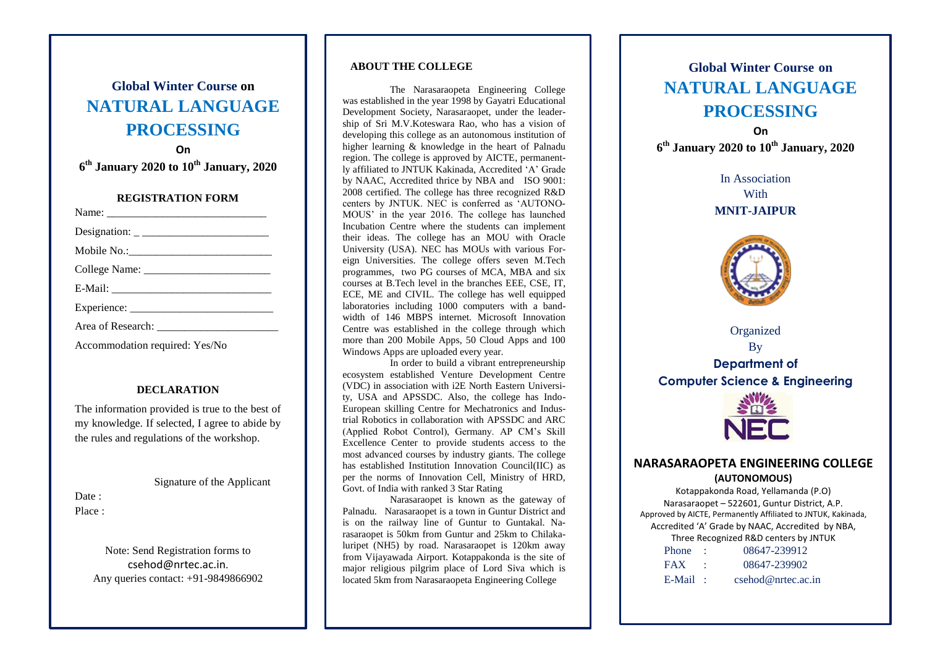# **Global Winter Course on NATURAL LANGUAGE PROCESSING**

**On 6 th January 2020 to 10th January, 2020**

#### **REGISTRATION FORM**

Accommodation required: Yes/No

### **DECLARATION**

The information provided is true to the best of my knowledge. If selected, I agree to abide by the rules and regulations of the workshop.

Signature of the Applicant

#### Date : Place ·

Note: Send Registration forms to csehod@nrtec.ac.in. Any queries contact: +91-9849866902

#### **ABOUT THE COLLEGE**

The Narasaraopeta Engineering College was established in the year 1998 by Gayatri Educational Development Society, Narasaraopet, under the leadership of Sri M.V.Koteswara Rao, who has a vision of developing this college as an autonomous institution of higher learning & knowledge in the heart of Palnadu region. The college is approved by AICTE, permanently affiliated to JNTUK Kakinada, Accredited 'A' Grade by NAAC, Accredited thrice by NBA and ISO 9001: 2008 certified. The college has three recognized R&D centers by JNTUK. NEC is conferred as 'AUTONO-MOUS' in the year 2016. The college has launched Incubation Centre where the students can implement their ideas. The college has an MOU with Oracle University (USA). NEC has MOUs with various Foreign Universities. The college offers seven M.Tech programmes, two PG courses of MCA, MBA and six courses at B.Tech level in the branches EEE, CSE, IT, ECE, ME and CIVIL. The college has well equipped laboratories including 1000 computers with a bandwidth of 146 MBPS internet. Microsoft Innovation Centre was established in the college through which more than 200 Mobile Apps, 50 Cloud Apps and 100 Windows Apps are uploaded every year.

In order to build a vibrant entrepreneurship ecosystem established Venture Development Centre (VDC) in association with i2E North Eastern University, USA and APSSDC. Also, the college has Indo-European skilling Centre for Mechatronics and Industrial Robotics in collaboration with APSSDC and ARC (Applied Robot Control), Germany. AP CM's Skill Excellence Center to provide students access to the most advanced courses by industry giants. The college has established Institution Innovation Council(IIC) as per the norms of Innovation Cell, Ministry of HRD, Govt. of India with ranked 3 Star Rating

Narasaraopet is known as the gateway of Palnadu. Narasaraopet is a town in Guntur District and is on the railway line of Guntur to Guntakal. Narasaraopet is 50km from Guntur and 25km to Chilakaluripet (NH5) by road. Narasaraopet is 120km away from Vijayawada Airport. Kotappakonda is the site of major religious pilgrim place of Lord Siva which is located 5km from Narasaraopeta Engineering College

# **Global Winter Course on NATURAL LANGUAGE PROCESSING**

**On 6 th January 2020 to 10th January, 2020**

> In Association **With MNIT-JAIPUR**



Organized By **Department of Computer Science & Engineering** 



## **NARASARAOPETA ENGINEERING COLLEGE (AUTONOMOUS)**

Kotappakonda Road, Yellamanda (P.O) Narasaraopet – 522601, Guntur District, A.P. Approved by AICTE, Permanently Affiliated to JNTUK, Kakinada, Accredited 'A' Grade by NAAC, Accredited by NBA, Three Recognized R&D centers by JNTUK  $80647.239912$ 

| rnone.     | <u>U8047-239912</u> |
|------------|---------------------|
| <b>FAX</b> | 08647-239902        |
| E-Mail     | csehod@nrtec.ac.in  |